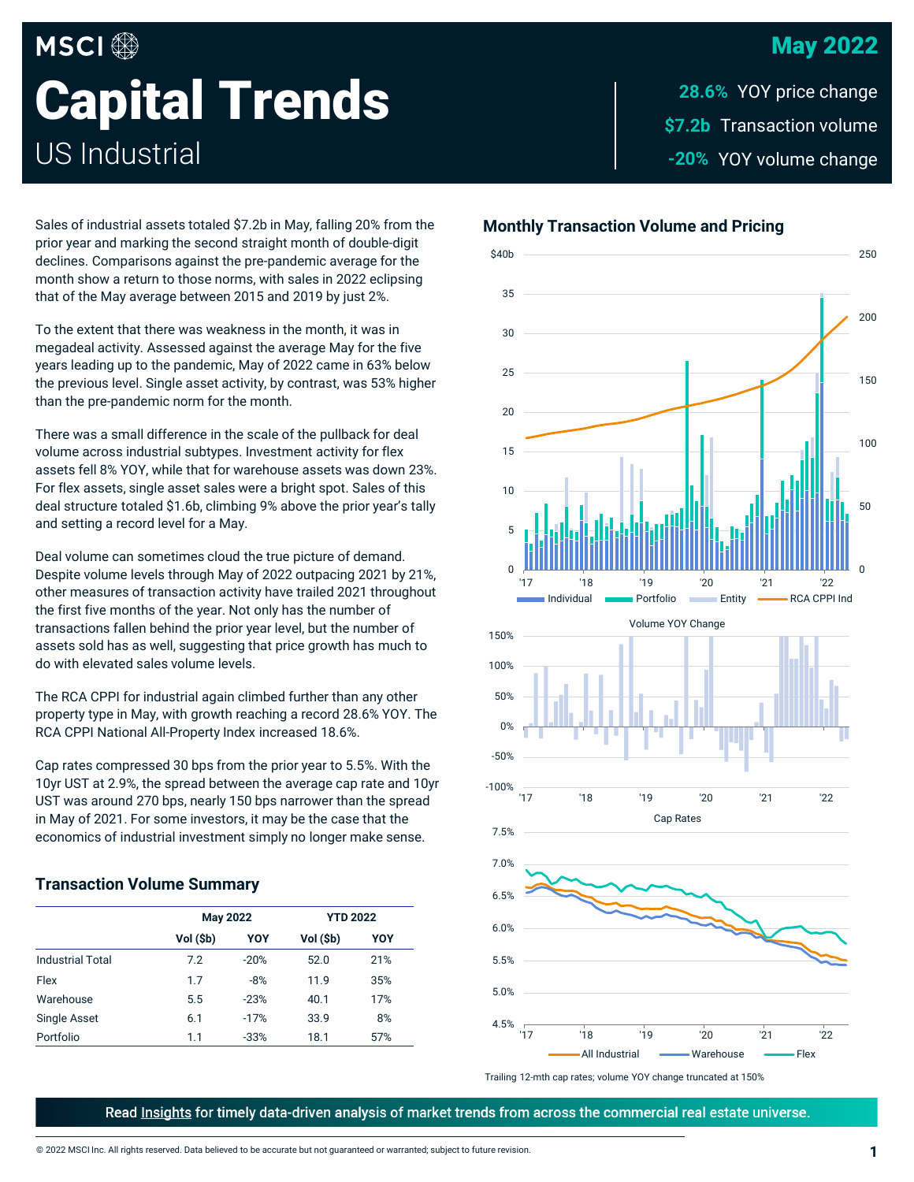## May 2022

# **MSCI**<sup>®</sup> **Capital Trends** US Industrial

\$7.2b Transaction volume -20% YOY volume change **28.6% YOY price change** 

Sales of industrial assets totaled \$7.2b in May, falling 20% from the prior year and marking the second straight month of double-digit declines. Comparisons against the pre-pandemic average for the month show a return to those norms, with sales in 2022 eclipsing that of the May average between 2015 and 2019 by just 2%.

To the extent that there was weakness in the month, it was in megadeal activity. Assessed against the average May for the five years leading up to the pandemic, May of 2022 came in 63% below the previous level. Single asset activity, by contrast, was 53% higher than the pre-pandemic norm for the month.

There was a small difference in the scale of the pullback for deal volume across industrial subtypes. Investment activity for flex assets fell 8% YOY, while that for warehouse assets was down 23%. For flex assets, single asset sales were a bright spot. Sales of this deal structure totaled \$1.6b, climbing 9% above the prior year's tally and setting a record level for a May.

Deal volume can sometimes cloud the true picture of demand. Despite volume levels through May of 2022 outpacing 2021 by 21%, other measures of transaction activity have trailed 2021 throughout the first five months of the year. Not only has the number of transactions fallen behind the prior year level, but the number of assets sold has as well, suggesting that price growth has much to do with elevated sales volume levels.

The RCA CPPI for industrial again climbed further than any other property type in May, with growth reaching a record 28.6% YOY. The RCA CPPI National All-Property Index increased 18.6%.

Cap rates compressed 30 bps from the prior year to 5.5%. With the 10yr UST at 2.9%, the spread between the average cap rate and 10yr UST was around 270 bps, nearly 150 bps narrower than the spread in May of 2021. For some investors, it may be the case that the economics of industrial investment simply no longer make sense.

#### **Transaction Volume Summary**

|                         | <b>May 2022</b> |        | <b>YTD 2022</b> |     |
|-------------------------|-----------------|--------|-----------------|-----|
|                         | Vol (\$b)       | YOY    | Vol (\$b)       | YOY |
| <b>Industrial Total</b> | 7.2             | $-20%$ | 52.0            | 21% |
| Flex                    | 1.7             | $-8%$  | 11.9            | 35% |
| Warehouse               | 5.5             | $-23%$ | 40.1            | 17% |
| Single Asset            | 6.1             | $-17%$ | 33.9            | 8%  |
| Portfolio               | 1.1             | $-33%$ | 18.1            | 57% |







Trailing 12-mth cap rates; volume YOY change truncated at 150%

Read Insights for timely data-driven analysis of market trends from across the commercial real estate universe.